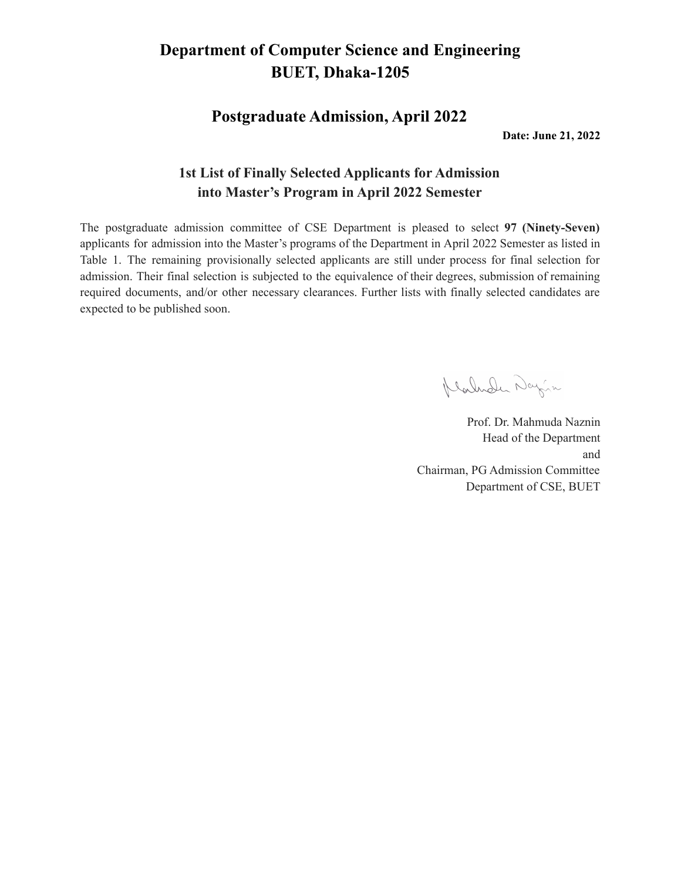**Postgraduate Admission, April 2022**

**Date: June 21, 2022**

#### **1st List of Finally Selected Applicants for Admission into Master's Program in April 2022 Semester**

The postgraduate admission committee of CSE Department is pleased to select **97 (Ninety-Seven)** applicants for admission into the Master's programs of the Department in April 2022 Semester as listed in Table 1. The remaining provisionally selected applicants are still under process for final selection for admission. Their final selection is subjected to the equivalence of their degrees, submission of remaining required documents, and/or other necessary clearances. Further lists with finally selected candidates are expected to be published soon.

Klarnder Dayin

Prof. Dr. Mahmuda Naznin Head of the Department and Chairman, PG Admission Committee Department of CSE, BUET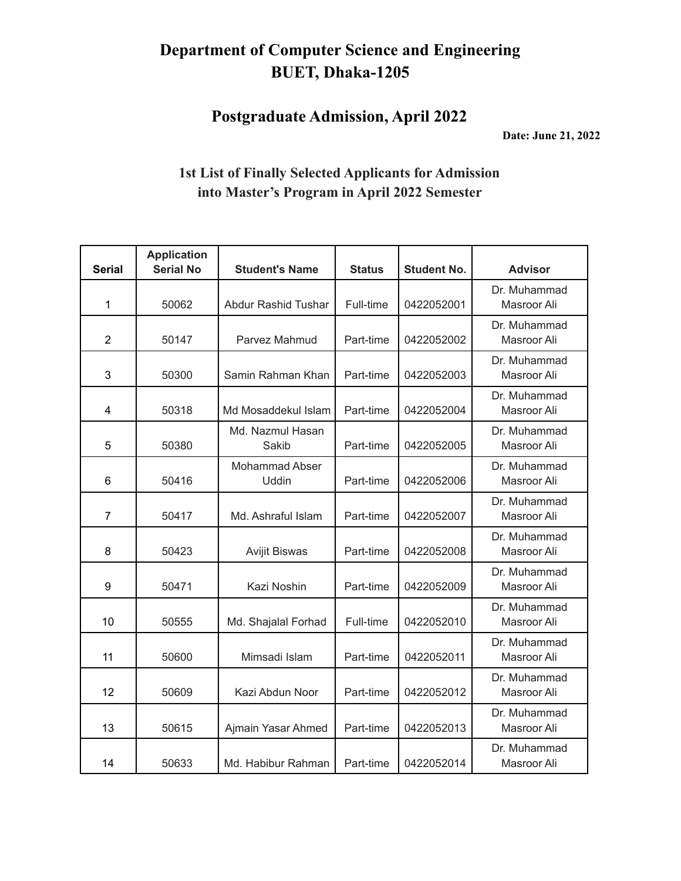**Postgraduate Admission, April 2022**

**Date: June 21, 2022**

| <b>Serial</b>  | <b>Application</b><br><b>Serial No</b> | <b>Student's Name</b>          | <b>Status</b> | <b>Student No.</b> | <b>Advisor</b>              |
|----------------|----------------------------------------|--------------------------------|---------------|--------------------|-----------------------------|
| 1              | 50062                                  | <b>Abdur Rashid Tushar</b>     | Full-time     | 0422052001         | Dr. Muhammad<br>Masroor Ali |
| $\overline{2}$ | 50147                                  | Parvez Mahmud                  | Part-time     | 0422052002         | Dr. Muhammad<br>Masroor Ali |
| 3              | 50300                                  | Samin Rahman Khan              | Part-time     | 0422052003         | Dr. Muhammad<br>Masroor Ali |
| 4              | 50318                                  | Md Mosaddekul Islam            | Part-time     | 0422052004         | Dr. Muhammad<br>Masroor Ali |
| 5              | 50380                                  | Md. Nazmul Hasan<br>Sakib      | Part-time     | 0422052005         | Dr. Muhammad<br>Masroor Ali |
| 6              | 50416                                  | <b>Mohammad Abser</b><br>Uddin | Part-time     | 0422052006         | Dr. Muhammad<br>Masroor Ali |
| $\overline{7}$ | 50417                                  | Md. Ashraful Islam             | Part-time     | 0422052007         | Dr. Muhammad<br>Masroor Ali |
| 8              | 50423                                  | <b>Avijit Biswas</b>           | Part-time     | 0422052008         | Dr. Muhammad<br>Masroor Ali |
| 9              | 50471                                  | Kazi Noshin                    | Part-time     | 0422052009         | Dr. Muhammad<br>Masroor Ali |
| 10             | 50555                                  | Md. Shajalal Forhad            | Full-time     | 0422052010         | Dr. Muhammad<br>Masroor Ali |
| 11             | 50600                                  | Mimsadi Islam                  | Part-time     | 0422052011         | Dr. Muhammad<br>Masroor Ali |
| 12             | 50609                                  | Kazi Abdun Noor                | Part-time     | 0422052012         | Dr. Muhammad<br>Masroor Ali |
| 13             | 50615                                  | Ajmain Yasar Ahmed             | Part-time     | 0422052013         | Dr. Muhammad<br>Masroor Ali |
| 14             | 50633                                  | Md. Habibur Rahman             | Part-time     | 0422052014         | Dr. Muhammad<br>Masroor Ali |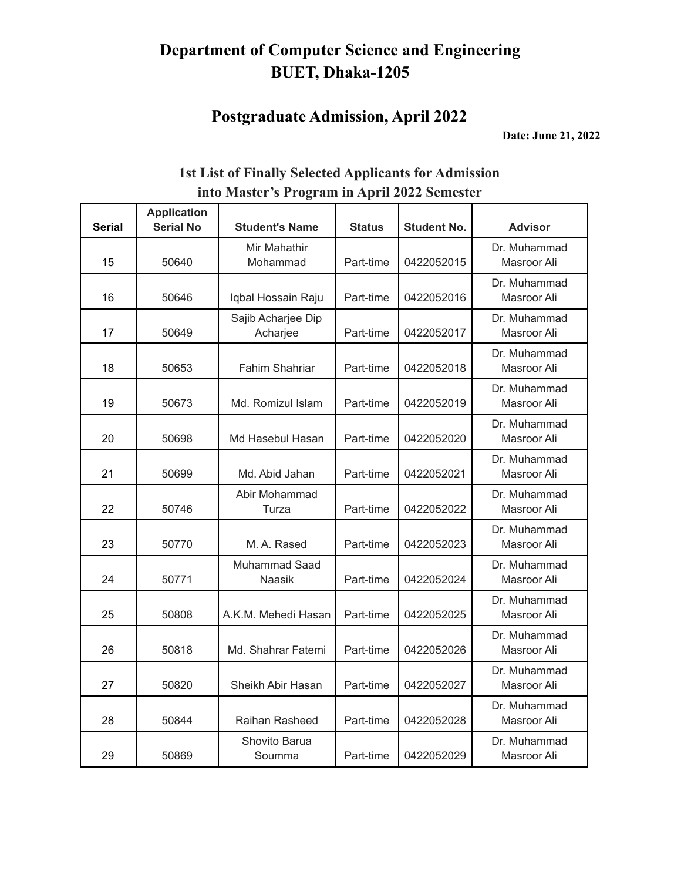### **Postgraduate Admission, April 2022**

**Date: June 21, 2022**

|               | <b>Application</b> | 0                              |               |                    |                             |
|---------------|--------------------|--------------------------------|---------------|--------------------|-----------------------------|
| <b>Serial</b> | <b>Serial No</b>   | <b>Student's Name</b>          | <b>Status</b> | <b>Student No.</b> | <b>Advisor</b>              |
| 15            | 50640              | Mir Mahathir<br>Mohammad       | Part-time     | 0422052015         | Dr. Muhammad<br>Masroor Ali |
| 16            | 50646              | Iqbal Hossain Raju             | Part-time     | 0422052016         | Dr. Muhammad<br>Masroor Ali |
| 17            | 50649              | Sajib Acharjee Dip<br>Acharjee | Part-time     | 0422052017         | Dr. Muhammad<br>Masroor Ali |
| 18            | 50653              | <b>Fahim Shahriar</b>          | Part-time     | 0422052018         | Dr. Muhammad<br>Masroor Ali |
| 19            | 50673              | Md. Romizul Islam              | Part-time     | 0422052019         | Dr. Muhammad<br>Masroor Ali |
| 20            | 50698              | Md Hasebul Hasan               | Part-time     | 0422052020         | Dr. Muhammad<br>Masroor Ali |
| 21            | 50699              | Md. Abid Jahan                 | Part-time     | 0422052021         | Dr. Muhammad<br>Masroor Ali |
| 22            | 50746              | Abir Mohammad<br>Turza         | Part-time     | 0422052022         | Dr. Muhammad<br>Masroor Ali |
| 23            | 50770              | M. A. Rased                    | Part-time     | 0422052023         | Dr. Muhammad<br>Masroor Ali |
| 24            | 50771              | Muhammad Saad<br>Naasik        | Part-time     | 0422052024         | Dr. Muhammad<br>Masroor Ali |
| 25            | 50808              | A.K.M. Mehedi Hasan            | Part-time     | 0422052025         | Dr. Muhammad<br>Masroor Ali |
| 26            | 50818              | Md. Shahrar Fatemi             | Part-time     | 0422052026         | Dr. Muhammad<br>Masroor Ali |
| 27            | 50820              | Sheikh Abir Hasan              | Part-time     | 0422052027         | Dr. Muhammad<br>Masroor Ali |
| 28            | 50844              | Raihan Rasheed                 | Part-time     | 0422052028         | Dr. Muhammad<br>Masroor Ali |
| 29            | 50869              | Shovito Barua<br>Soumma        | Part-time     | 0422052029         | Dr. Muhammad<br>Masroor Ali |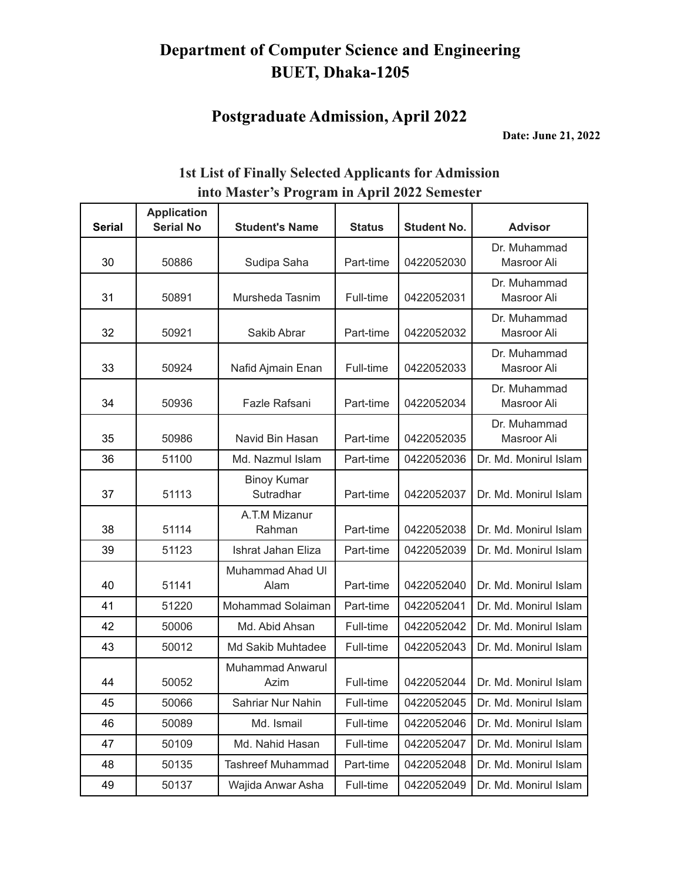# **Postgraduate Admission, April 2022**

**Date: June 21, 2022**

| <b>Serial</b> | <b>Application</b><br><b>Serial No</b> | <b>Student's Name</b>           | <b>Status</b> | <b>Student No.</b> | <b>Advisor</b>              |
|---------------|----------------------------------------|---------------------------------|---------------|--------------------|-----------------------------|
| 30            | 50886                                  | Sudipa Saha                     | Part-time     | 0422052030         | Dr. Muhammad<br>Masroor Ali |
| 31            | 50891                                  | Mursheda Tasnim                 | Full-time     | 0422052031         | Dr. Muhammad<br>Masroor Ali |
| 32            | 50921                                  | Sakib Abrar                     | Part-time     | 0422052032         | Dr. Muhammad<br>Masroor Ali |
| 33            | 50924                                  | Nafid Ajmain Enan               | Full-time     | 0422052033         | Dr. Muhammad<br>Masroor Ali |
| 34            | 50936                                  | Fazle Rafsani                   | Part-time     | 0422052034         | Dr. Muhammad<br>Masroor Ali |
| 35            | 50986                                  | Navid Bin Hasan                 | Part-time     | 0422052035         | Dr. Muhammad<br>Masroor Ali |
| 36            | 51100                                  | Md. Nazmul Islam                | Part-time     | 0422052036         | Dr. Md. Monirul Islam       |
| 37            | 51113                                  | <b>Binoy Kumar</b><br>Sutradhar | Part-time     | 0422052037         | Dr. Md. Monirul Islam       |
| 38            | 51114                                  | A.T.M Mizanur<br>Rahman         | Part-time     | 0422052038         | Dr. Md. Monirul Islam       |
| 39            | 51123                                  | Ishrat Jahan Eliza              | Part-time     | 0422052039         | Dr. Md. Monirul Islam       |
| 40            | 51141                                  | Muhammad Ahad UI<br>Alam        | Part-time     | 0422052040         | Dr. Md. Monirul Islam       |
| 41            | 51220                                  | Mohammad Solaiman               | Part-time     | 0422052041         | Dr. Md. Monirul Islam       |
| 42            | 50006                                  | Md. Abid Ahsan                  | Full-time     | 0422052042         | Dr. Md. Monirul Islam       |
| 43            | 50012                                  | Md Sakib Muhtadee               | Full-time     | 0422052043         | Dr. Md. Monirul Islam       |
| 44            | 50052                                  | <b>Muhammad Anwarul</b><br>Azim | Full-time     | 0422052044         | Dr. Md. Monirul Islam       |
| 45            | 50066                                  | Sahriar Nur Nahin               | Full-time     | 0422052045         | Dr. Md. Monirul Islam       |
| 46            | 50089                                  | Md. Ismail                      | Full-time     | 0422052046         | Dr. Md. Monirul Islam       |
| 47            | 50109                                  | Md. Nahid Hasan                 | Full-time     | 0422052047         | Dr. Md. Monirul Islam       |
| 48            | 50135                                  | <b>Tashreef Muhammad</b>        | Part-time     | 0422052048         | Dr. Md. Monirul Islam       |
| 49            | 50137                                  | Wajida Anwar Asha               | Full-time     | 0422052049         | Dr. Md. Monirul Islam       |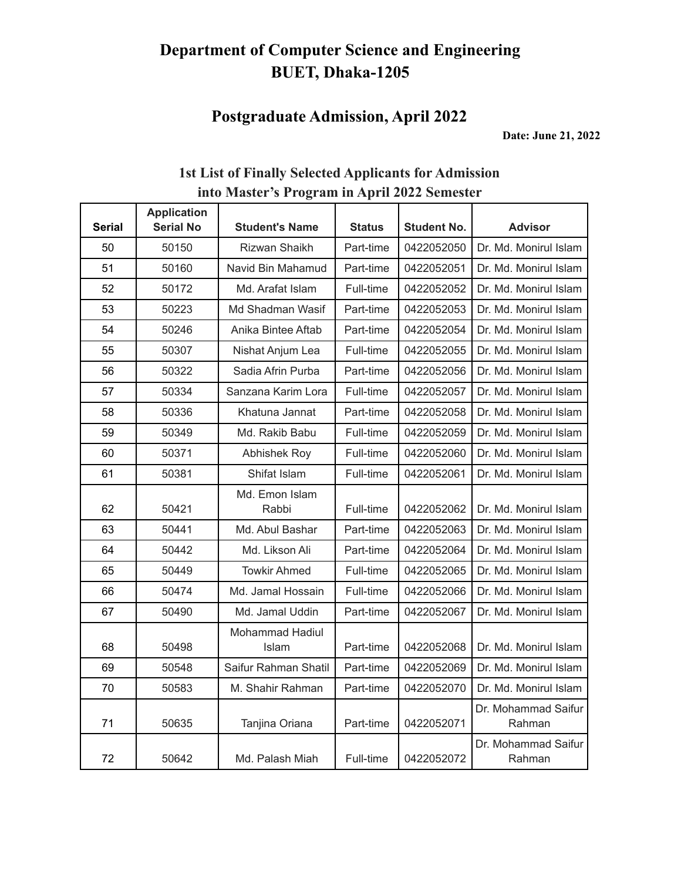### **Postgraduate Admission, April 2022**

**Date: June 21, 2022**

| <b>Serial</b> | <b>Application</b><br><b>Serial No</b> | <b>Student's Name</b>    | <b>Status</b> | <b>Student No.</b> | <b>Advisor</b>                |
|---------------|----------------------------------------|--------------------------|---------------|--------------------|-------------------------------|
| 50            | 50150                                  | Rizwan Shaikh            | Part-time     | 0422052050         | Dr. Md. Monirul Islam         |
| 51            | 50160                                  | Navid Bin Mahamud        | Part-time     | 0422052051         | Dr. Md. Monirul Islam         |
| 52            | 50172                                  | Md. Arafat Islam         | Full-time     | 0422052052         | Dr. Md. Monirul Islam         |
| 53            | 50223                                  | Md Shadman Wasif         | Part-time     | 0422052053         | Dr. Md. Monirul Islam         |
| 54            | 50246                                  | Anika Bintee Aftab       | Part-time     | 0422052054         | Dr. Md. Monirul Islam         |
| 55            | 50307                                  | Nishat Anjum Lea         | Full-time     | 0422052055         | Dr. Md. Monirul Islam         |
| 56            | 50322                                  | Sadia Afrin Purba        | Part-time     | 0422052056         | Dr. Md. Monirul Islam         |
| 57            | 50334                                  | Sanzana Karim Lora       | Full-time     | 0422052057         | Dr. Md. Monirul Islam         |
| 58            | 50336                                  | Khatuna Jannat           | Part-time     | 0422052058         | Dr. Md. Monirul Islam         |
| 59            | 50349                                  | Md. Rakib Babu           | Full-time     | 0422052059         | Dr. Md. Monirul Islam         |
| 60            | 50371                                  | Abhishek Roy             | Full-time     | 0422052060         | Dr. Md. Monirul Islam         |
| 61            | 50381                                  | Shifat Islam             | Full-time     | 0422052061         | Dr. Md. Monirul Islam         |
| 62            | 50421                                  | Md. Emon Islam<br>Rabbi  | Full-time     | 0422052062         | Dr. Md. Monirul Islam         |
| 63            | 50441                                  | Md. Abul Bashar          | Part-time     | 0422052063         | Dr. Md. Monirul Islam         |
| 64            | 50442                                  | Md. Likson Ali           | Part-time     | 0422052064         | Dr. Md. Monirul Islam         |
| 65            | 50449                                  | <b>Towkir Ahmed</b>      | Full-time     | 0422052065         | Dr. Md. Monirul Islam         |
| 66            | 50474                                  | Md. Jamal Hossain        | Full-time     | 0422052066         | Dr. Md. Monirul Islam         |
| 67            | 50490                                  | Md. Jamal Uddin          | Part-time     | 0422052067         | Dr. Md. Monirul Islam         |
| 68            | 50498                                  | Mohammad Hadiul<br>Islam | Part-time     | 0422052068         | Dr. Md. Monirul Islam         |
| 69            | 50548                                  | Saifur Rahman Shatil     | Part-time     | 0422052069         | Dr. Md. Monirul Islam         |
| 70            | 50583                                  | M. Shahir Rahman         | Part-time     | 0422052070         | Dr. Md. Monirul Islam         |
| 71            | 50635                                  | Tanjina Oriana           | Part-time     | 0422052071         | Dr. Mohammad Saifur<br>Rahman |
| 72            | 50642                                  | Md. Palash Miah          | Full-time     | 0422052072         | Dr. Mohammad Saifur<br>Rahman |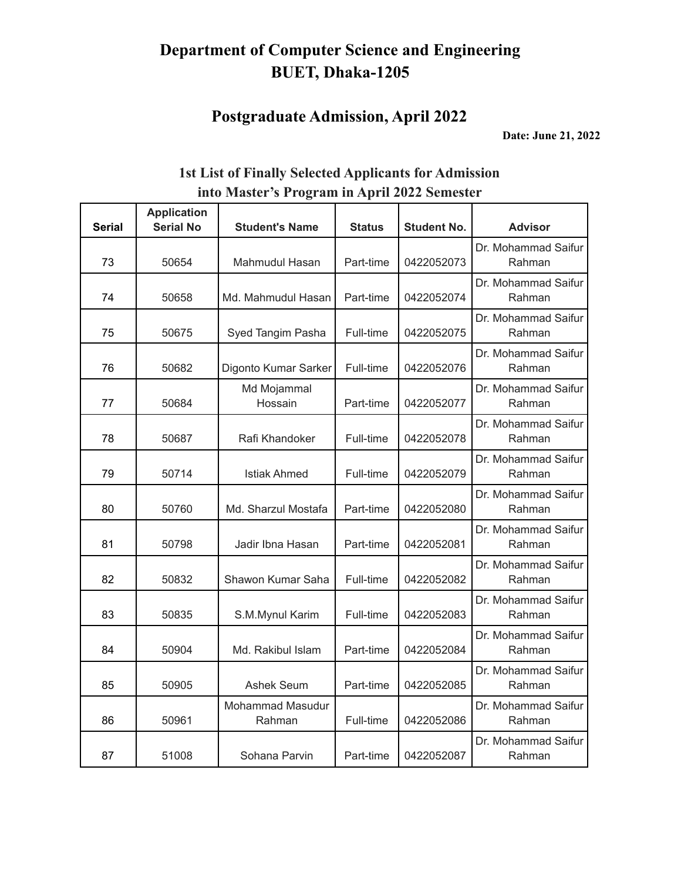# **Postgraduate Admission, April 2022**

**Date: June 21, 2022**

| <b>Serial</b> | <b>Application</b><br><b>Serial No</b> | <b>Student's Name</b>      | <b>Status</b> | <b>Student No.</b> | <b>Advisor</b>                |
|---------------|----------------------------------------|----------------------------|---------------|--------------------|-------------------------------|
| 73            | 50654                                  | Mahmudul Hasan             | Part-time     | 0422052073         | Dr. Mohammad Saifur<br>Rahman |
| 74            | 50658                                  | Md. Mahmudul Hasan         | Part-time     | 0422052074         | Dr. Mohammad Saifur<br>Rahman |
| 75            | 50675                                  | Syed Tangim Pasha          | Full-time     | 0422052075         | Dr. Mohammad Saifur<br>Rahman |
| 76            | 50682                                  | Digonto Kumar Sarker       | Full-time     | 0422052076         | Dr. Mohammad Saifur<br>Rahman |
| 77            | 50684                                  | Md Mojammal<br>Hossain     | Part-time     | 0422052077         | Dr. Mohammad Saifur<br>Rahman |
| 78            | 50687                                  | Rafi Khandoker             | Full-time     | 0422052078         | Dr. Mohammad Saifur<br>Rahman |
| 79            | 50714                                  | <b>Istiak Ahmed</b>        | Full-time     | 0422052079         | Dr. Mohammad Saifur<br>Rahman |
| 80            | 50760                                  | Md. Sharzul Mostafa        | Part-time     | 0422052080         | Dr. Mohammad Saifur<br>Rahman |
| 81            | 50798                                  | Jadir Ibna Hasan           | Part-time     | 0422052081         | Dr. Mohammad Saifur<br>Rahman |
| 82            | 50832                                  | Shawon Kumar Saha          | Full-time     | 0422052082         | Dr. Mohammad Saifur<br>Rahman |
| 83            | 50835                                  | S.M.Mynul Karim            | Full-time     | 0422052083         | Dr. Mohammad Saifur<br>Rahman |
| 84            | 50904                                  | Md. Rakibul Islam          | Part-time     | 0422052084         | Dr. Mohammad Saifur<br>Rahman |
| 85            | 50905                                  | <b>Ashek Seum</b>          | Part-time     | 0422052085         | Dr. Mohammad Saifur<br>Rahman |
| 86            | 50961                                  | Mohammad Masudur<br>Rahman | Full-time     | 0422052086         | Dr. Mohammad Saifur<br>Rahman |
| 87            | 51008                                  | Sohana Parvin              | Part-time     | 0422052087         | Dr. Mohammad Saifur<br>Rahman |